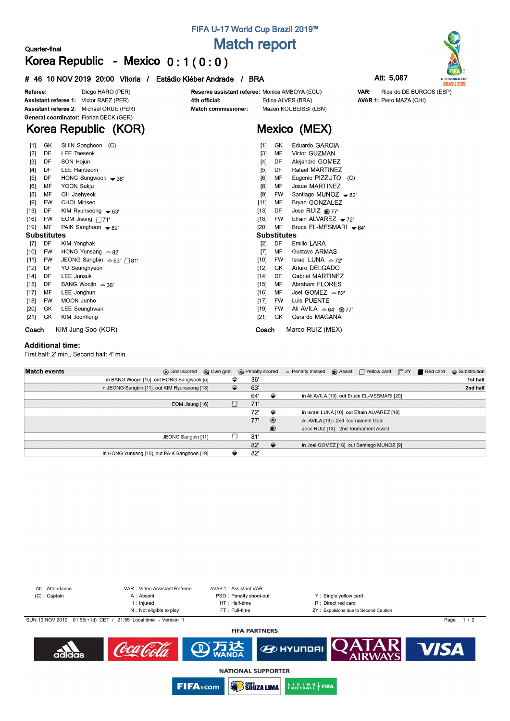## **FIFA U-17 World Cup Brazil 2019™**

**Match report**

Reserve assistant referee: Monica AMBOYA (ECU)

**Mexico (MEX)**

Mazen KOUBEISSI (LBN)

Edina ALVES (BRA)

# **Korea Republic - Mexico 0 : 1 ( 0 : 0 )**

#### **# 46 10 NOV 2019 20:00 Vitoria / Estádio Kléber Andrade / BRA Att: 5,087**



AVAR 1: Piero MAZA (CHI)

VAR:



Diego HARO (PER) Referee: Assistant referee 1: Victor RAEZ (PER) Assistant referee 2: Michael ORUE (PER) General coordinator: Florian BECK (GER)

**Quarter-final**

# **Korea Republic (KOR)**

| Coach              |           | KIM Jung Soo (KOR)              | Coach                | Marco RUIZ (MEX)                |
|--------------------|-----------|---------------------------------|----------------------|---------------------------------|
| $[21]$             | GK        | KIM Joonhong                    | $[21]$<br>GK         | Gerardo MAGANA                  |
| $[20]$             | GK        | LEE Seunghwan                   | $[19]$<br>FW         | Ali AVILA $\triangle$ 64' ® 77' |
| $[18]$             | FW        | <b>MOON Junho</b>               | $[17]$<br>FW         | Luis PUENTE                     |
| $[17]$             | МF        | LEE Jonghun                     | [16]<br>МF           | Joel GOMEZ $\approx 82^\circ$   |
| $[15]$             | DF        | BANG Woojin $\approx 36'$       | $[15]$<br>MF         | Abraham FLORES                  |
| $[14]$             | DF        | LEE Junsuk                      | DF<br>$[14]$         | Gabriel MARTINEZ                |
| $[12]$             | DF        | <b>YU Seunghyeon</b>            | $[12]$<br>GK         | Arturo DELGADO                  |
| [11]               | FW        | JEONG Sangbin △ 63' □ 81'       | $[10]$<br><b>FW</b>  | Israel LUNA $\approx$ 72'       |
| $[10]$             | <b>FW</b> | HONG Yunsang $\approx 82'$      | MF<br>[7]            | Gustavo ARMAS                   |
| $[7]$              | DF        | KIM Yonghak                     | $[2]$<br>DF          | Emilio LARA                     |
| <b>Substitutes</b> |           |                                 | <b>Substitutes</b>   |                                 |
| $[19]$             | MF        | PAIK Sanghoon $\rightarrow$ 82' | $[20]$<br>MF         | Bruce EL-MESMARI $\bullet$ 64'  |
| $[16]$             | FW        | EOM Jisung $\Box$ 71'           | $[18]$<br><b>FW</b>  | Efrain ALVAREZ $-72$            |
| [13]               | DF        | KIM Ryunseong $-63'$            | $[13]$<br>DF         | Jose RUIZ @77'                  |
| [9]                | FW        | CHOI Minseo                     | $[11]$<br>MF         | Bryan GONZALEZ                  |
| [8]                | МF        | OH Jaehyeok                     | [9]<br>FW            | Santiago MUNOZ $-82'$           |
| [6]                | MF        | <b>YOON Sukju</b>               | [8]<br>MF            | <b>Josue MARTINEZ</b>           |
| [5]                | DF        | HONG Sungwook $\rightarrow$ 36' | [6]<br>MF            | Eugenio PIZZUTO<br>(C)          |
| [4]                | DF        | LEE Hanbeom                     | [5]<br>DF            | Rafael MARTINEZ                 |
| $[2]$<br>$[3]$     | DF        | SON Hojun                       | DF<br>[4]            | Alejandro GOMEZ                 |
| $[1]$              | DF        | <b>LEE Taeseok</b>              | $[1]$<br>$[3]$<br>MF | Victor GUZMAN                   |
|                    | GK        | SHIN Songhoon<br>(C)            | GK.                  | Eduardo GARCIA                  |

4th official:

Match commissioner:

#### **Additional time:**

First half: 2' min., Second half: 4' min.

| <b>Match events</b> | <b>B</b> Goal scored                          | © Own goal | <b>B</b> Penalty scored |                | - Penalty missed | $\bigcirc$ Assist $\bigcap$ Yellow card      | $\Box$ 2Y | Red card | $\Leftrightarrow$ Substitution |
|---------------------|-----------------------------------------------|------------|-------------------------|----------------|------------------|----------------------------------------------|-----------|----------|--------------------------------|
|                     | in BANG Woojin [15], out HONG Sungwook [5]    | ⇔          | 36'                     |                |                  |                                              |           |          | 1st half                       |
|                     | in JEONG Sangbin [11], out KIM Ryunseong [13] | ≙          | 63'                     |                |                  |                                              |           |          | 2nd half                       |
|                     |                                               |            | 64'                     | ⇔              |                  | in Ali AVILA [19], out Bruce EL-MESMARI [20] |           |          |                                |
|                     | EOM Jisung [16]                               |            | 71'                     |                |                  |                                              |           |          |                                |
|                     |                                               |            | 72'                     | ⇔              |                  | in Israel LUNA [10], out Efrain ALVAREZ [18] |           |          |                                |
|                     |                                               |            | 77'                     | $\circledcirc$ |                  | Ali AVILA [19] - 2nd Tournament Goal         |           |          |                                |
|                     |                                               |            |                         | ®              |                  | Jose RUIZ [13] - 2nd Tournament Assist       |           |          |                                |
|                     | JEONG Sangbin [11]                            |            | 81'                     |                |                  |                                              |           |          |                                |
|                     |                                               |            | 82'                     | $\Rightarrow$  |                  | in Joel GOMEZ [16], out Santiago MUNOZ [9]   |           |          |                                |
|                     | in HONG Yunsang [10], out PAIK Sanghoon [19]  | ≙          | 82'                     |                |                  |                                              |           |          |                                |